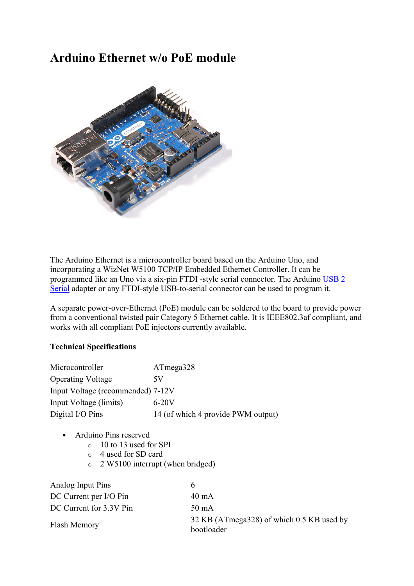## Arduino Ethernet w/o PoE module



The Arduino Ethernet is a microcontroller board based on the Arduino Uno, and incorporating a WizNet W5100 TCP/IP Embedded Ethernet Controller. It can be programmed like an Uno via a six-pin FTDI -style serial connector. The Arduino USB 2 Serial adapter or any FTDI-style USB-to-serial connector can be used to program it.

A separate power-over-Ethernet (PoE) module can be soldered to the board to provide power from a conventional twisted pair Category 5 Ethernet cable. It is IEEE802.3af compliant, and works with all compliant PoE injectors currently available.

## Technical Specifications

| Microcontroller                   | ATmega328                          |
|-----------------------------------|------------------------------------|
| <b>Operating Voltage</b>          | 5V                                 |
| Input Voltage (recommended) 7-12V |                                    |
| Input Voltage (limits)            | $6 - 20V$                          |
| Digital I/O Pins                  | 14 (of which 4 provide PWM output) |

- Arduino Pins reserved
	- o 10 to 13 used for SPI
	- o 4 used for SD card
	- o 2 W5100 interrupt (when bridged)

| Analog Input Pins       | h.                                                      |
|-------------------------|---------------------------------------------------------|
| DC Current per I/O Pin  | 40 mA                                                   |
| DC Current for 3.3V Pin | 50 mA                                                   |
| Flash Memory            | 32 KB (ATmega328) of which 0.5 KB used by<br>bootloader |